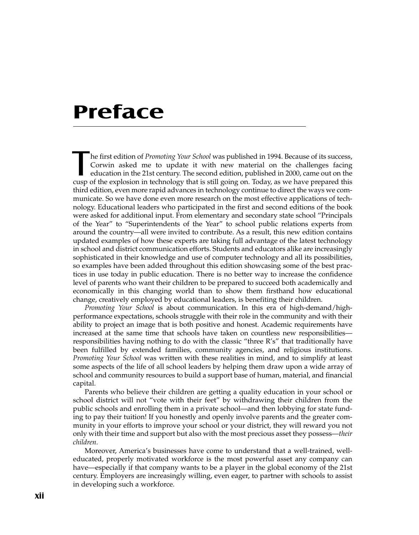## **Preface**

T he first edition of *Promoting Your School* was published in 1994. Because of its success, Corwin asked me to update it with new material on the challenges facing education in the 21st century. The second edition, published in 2000, came out on the cusp of the explosion in technology that is still going on. Today, as we have prepared this third edition, even more rapid advances in technology continue to direct the ways we communicate. So we have done even more research on the most effective applications of technology. Educational leaders who participated in the first and second editions of the book were asked for additional input. From elementary and secondary state school "Principals of the Year" to "Superintendents of the Year" to school public relations experts from around the country—all were invited to contribute. As a result, this new edition contains updated examples of how these experts are taking full advantage of the latest technology in school and district communication efforts. Students and educators alike are increasingly sophisticated in their knowledge and use of computer technology and all its possibilities, so examples have been added throughout this edition showcasing some of the best practices in use today in public education. There is no better way to increase the confidence level of parents who want their children to be prepared to succeed both academically and economically in this changing world than to show them firsthand how educational change, creatively employed by educational leaders, is benefiting their children.

*Promoting Your School* is about communication. In this era of high-demand/highperformance expectations, schools struggle with their role in the community and with their ability to project an image that is both positive and honest. Academic requirements have increased at the same time that schools have taken on countless new responsibilities responsibilities having nothing to do with the classic "three R's" that traditionally have been fulfilled by extended families, community agencies, and religious institutions. *Promoting Your School* was written with these realities in mind, and to simplify at least some aspects of the life of all school leaders by helping them draw upon a wide array of school and community resources to build a support base of human, material, and financial capital.

Parents who believe their children are getting a quality education in your school or school district will not "vote with their feet" by withdrawing their children from the public schools and enrolling them in a private school—and then lobbying for state funding to pay their tuition! If you honestly and openly involve parents and the greater community in your efforts to improve your school or your district, they will reward you not only with their time and support but also with the most precious asset they possess—*their children.*

Moreover, America's businesses have come to understand that a well-trained, welleducated, properly motivated workforce is the most powerful asset any company can have—especially if that company wants to be a player in the global economy of the 21st century. Employers are increasingly willing, even eager, to partner with schools to assist in developing such a workforce.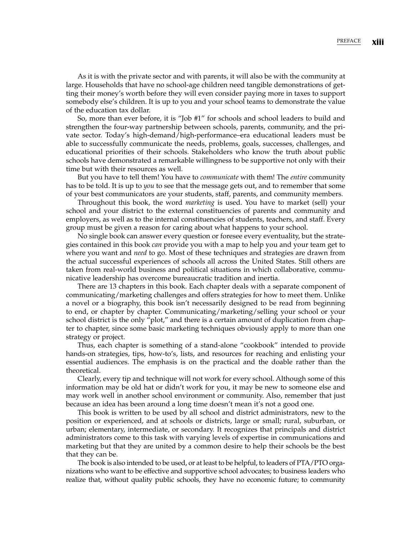As it is with the private sector and with parents, it will also be with the community at large. Households that have no school-age children need tangible demonstrations of getting their money's worth before they will even consider paying more in taxes to support somebody else's children. It is up to you and your school teams to demonstrate the value of the education tax dollar.

So, more than ever before, it is "Job #1" for schools and school leaders to build and strengthen the four-way partnership between schools, parents, community, and the private sector. Today's high-demand/high-performance–era educational leaders must be able to successfully communicate the needs, problems, goals, successes, challenges, and educational priorities of their schools. Stakeholders who know the truth about public schools have demonstrated a remarkable willingness to be supportive not only with their time but with their resources as well.

But you have to tell them! You have to *communicate* with them! The *entire* community has to be told. It is up to *you* to see that the message gets out, and to remember that some of your best communicators are your students, staff, parents, and community members.

Throughout this book, the word *marketing* is used. You have to market (sell) your school and your district to the external constituencies of parents and community and employers, as well as to the internal constituencies of students, teachers, and staff. Every group must be given a reason for caring about what happens to your school.

No single book can answer every question or foresee every eventuality, but the strategies contained in this book *can* provide you with a map to help you and your team get to where you want and *need* to go. Most of these techniques and strategies are drawn from the actual successful experiences of schools all across the United States. Still others are taken from real-world business and political situations in which collaborative, communicative leadership has overcome bureaucratic tradition and inertia.

There are 13 chapters in this book. Each chapter deals with a separate component of communicating/marketing challenges and offers strategies for how to meet them. Unlike a novel or a biography, this book isn't necessarily designed to be read from beginning to end, or chapter by chapter. Communicating/marketing/selling your school or your school district is the only "plot," and there is a certain amount of duplication from chapter to chapter, since some basic marketing techniques obviously apply to more than one strategy or project.

Thus, each chapter is something of a stand-alone "cookbook" intended to provide hands-on strategies, tips, how-to's, lists, and resources for reaching and enlisting your essential audiences. The emphasis is on the practical and the doable rather than the theoretical.

Clearly, every tip and technique will not work for every school. Although some of this information may be old hat or didn't work for you, it may be new to someone else and may work well in another school environment or community. Also, remember that just because an idea has been around a long time doesn't mean it's not a good one.

This book is written to be used by all school and district administrators, new to the position or experienced, and at schools or districts, large or small; rural, suburban, or urban; elementary, intermediate, or secondary. It recognizes that principals and district administrators come to this task with varying levels of expertise in communications and marketing but that they are united by a common desire to help their schools be the best that they can be.

The book is also intended to be used, or at least to be helpful, to leaders of PTA/PTO organizations who want to be effective and supportive school advocates; to business leaders who realize that, without quality public schools, they have no economic future; to community